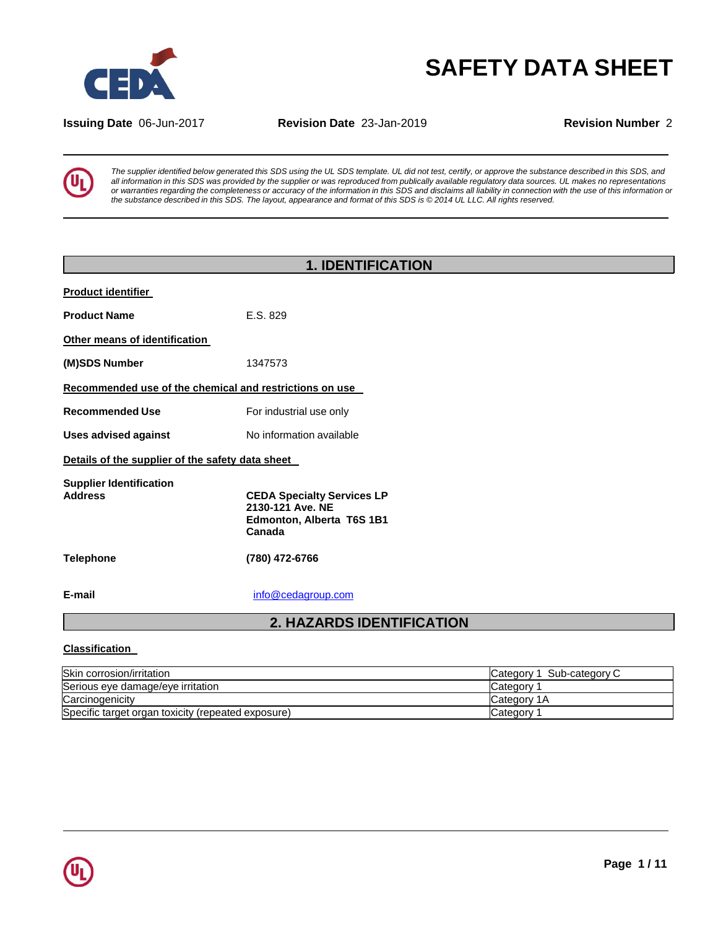

# **SAFETY DATA SHEET**

**Issuing Date** 06-Jun-2017 **Revision Date** 23-Jan-2019 **Revision Number** 2

The supplier identified below generated this SDS using the UL SDS template. UL did not test, certify, or approve the substance described in this SDS, and all information in this SDS was provided by the supplier or was reproduced from publically available regulatory data sources. UL makes no representations or warranties regarding the completeness or accuracy of the information in this SDS and disclaims all liability in connection with the use of this information or the substance described in this SDS. The layout, appearance and format of this SDS is @ 2014 UL LLC. All rights reserved.

|                                                         | <b>1. IDENTIFICATION</b>                                                                     |  |  |  |  |
|---------------------------------------------------------|----------------------------------------------------------------------------------------------|--|--|--|--|
| <b>Product identifier</b>                               |                                                                                              |  |  |  |  |
| <b>Product Name</b>                                     | E.S. 829                                                                                     |  |  |  |  |
| Other means of identification                           |                                                                                              |  |  |  |  |
| (M)SDS Number                                           | 1347573                                                                                      |  |  |  |  |
| Recommended use of the chemical and restrictions on use |                                                                                              |  |  |  |  |
| <b>Recommended Use</b>                                  | For industrial use only                                                                      |  |  |  |  |
| <b>Uses advised against</b>                             | No information available                                                                     |  |  |  |  |
| Details of the supplier of the safety data sheet        |                                                                                              |  |  |  |  |
| <b>Supplier Identification</b><br><b>Address</b>        | <b>CEDA Specialty Services LP</b><br>2130-121 Ave. NE<br>Edmonton, Alberta T6S 1B1<br>Canada |  |  |  |  |
| <b>Telephone</b>                                        | (780) 472-6766                                                                               |  |  |  |  |
| E-mail                                                  | info@cedagroup.com                                                                           |  |  |  |  |
|                                                         | <b>2. HAZARDS IDENTIFICATION</b>                                                             |  |  |  |  |

# **Classification**

| Skin corrosion/irritation                          | Sub-category C<br>ICategory 1 |
|----------------------------------------------------|-------------------------------|
| Serious eye damage/eye irritation                  | Category                      |
| Carcinogenicity                                    | Category 1A                   |
| Specific target organ toxicity (repeated exposure) | <b>Category</b>               |

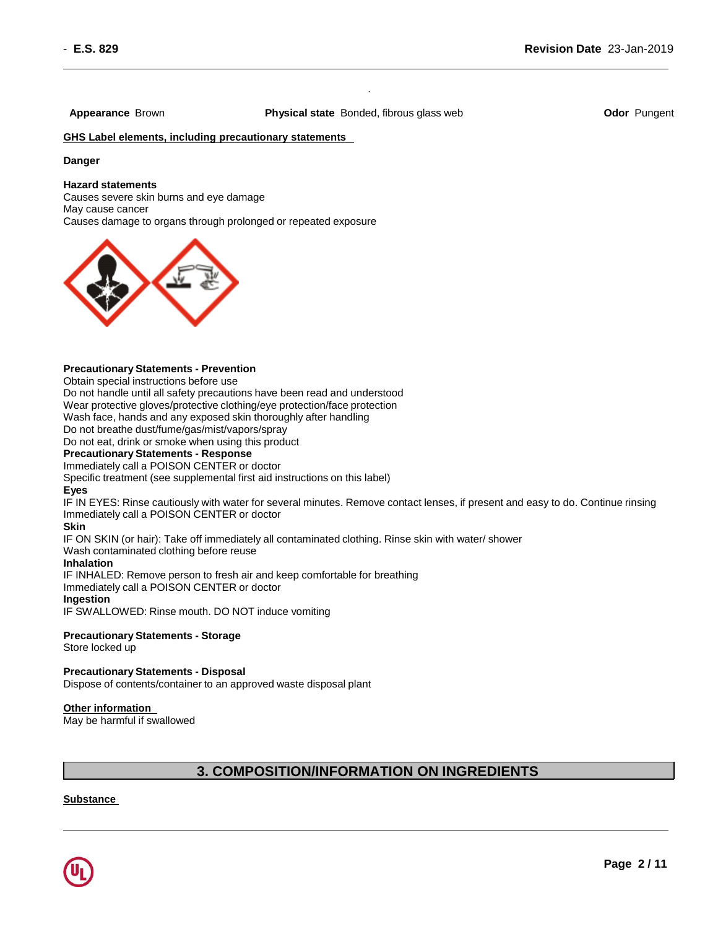**Appearance** Brown **Physical state** Bonded, fibrous glass web **Odor** Pungent

.

## **GHS Label elements, including precautionary statements**

## **Danger**

# **Hazard statements**

Causes severe skin burns and eye damage May cause cancer Causes damage to organs through prolonged or repeated exposure



#### **Precautionary Statements - Prevention**

Obtain special instructions before use

Do not handle until all safety precautions have been read and understood

Wear protective gloves/protective clothing/eye protection/face protection

Wash face, hands and any exposed skin thoroughly after handling

Do not breathe dust/fume/gas/mist/vapors/spray

Do not eat, drink or smoke when using this product

# **Precautionary Statements - Response**

Immediately call a POISON CENTER or doctor

Specific treatment (see supplemental first aid instructions on this label)

#### **Eyes**

IF IN EYES: Rinse cautiously with water for several minutes. Remove contact lenses, if present and easy to do. Continue rinsing Immediately call a POISON CENTER or doctor

#### **Skin**

IF ON SKIN (or hair): Take off immediately all contaminated clothing. Rinse skin with water/ shower

Wash contaminated clothing before reuse

## **Inhalation**

IF INHALED: Remove person to fresh air and keep comfortable for breathing Immediately call a POISON CENTER or doctor **Ingestion** IF SWALLOWED: Rinse mouth. DO NOT induce vomiting

# **Precautionary Statements - Storage**

Store locked up

# **Precautionary Statements - Disposal**

Dispose of contents/container to an approved waste disposal plant

#### **Other information**

May be harmful if swallowed

# **3. COMPOSITION/INFORMATION ON INGREDIENTS**

# **Substance**

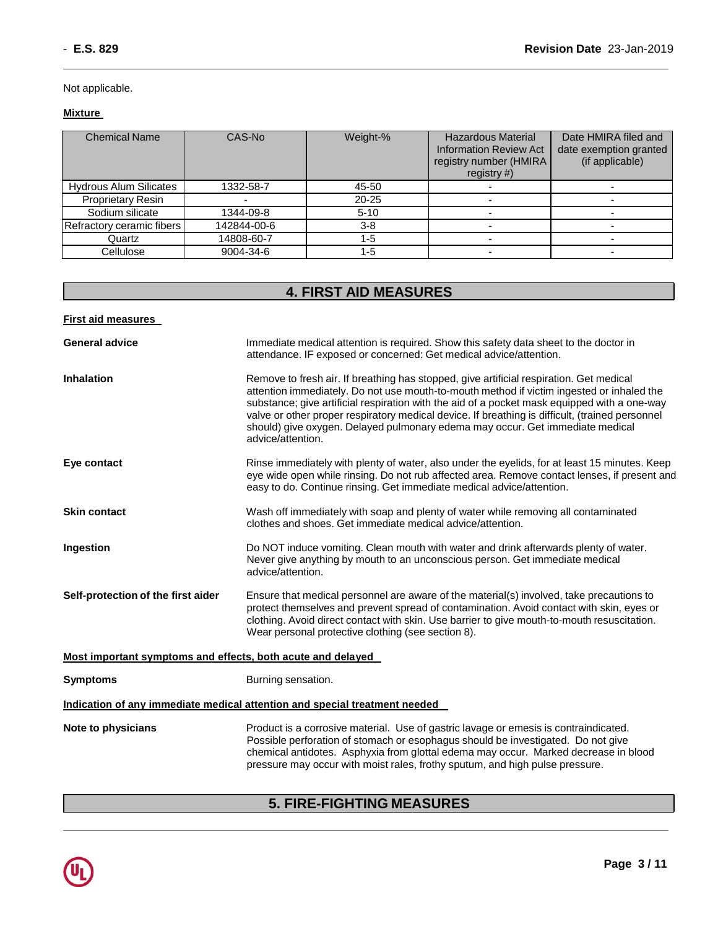Not applicable.

# **Mixture**

| <b>Chemical Name</b>          | CAS-No      | Weight-%  | <b>Hazardous Material</b><br><b>Information Review Act</b><br>registry number (HMIRA<br>registry #) | Date HMIRA filed and<br>date exemption granted<br>(if applicable) |
|-------------------------------|-------------|-----------|-----------------------------------------------------------------------------------------------------|-------------------------------------------------------------------|
| <b>Hydrous Alum Silicates</b> | 1332-58-7   | 45-50     |                                                                                                     |                                                                   |
| <b>Proprietary Resin</b>      |             | $20 - 25$ |                                                                                                     |                                                                   |
| Sodium silicate               | 1344-09-8   | $5 - 10$  |                                                                                                     |                                                                   |
| Refractory ceramic fibers     | 142844-00-6 | $3 - 8$   |                                                                                                     |                                                                   |
| Quartz                        | 14808-60-7  | 1-5       |                                                                                                     |                                                                   |
| Cellulose                     | 9004-34-6   | 1-5       |                                                                                                     |                                                                   |

# **4. FIRST AID MEASURES**

| <b>First aid measures</b>                                                  |                                                                                                                                                                                                                                                                                                                                                                                                                                                                                               |  |  |  |
|----------------------------------------------------------------------------|-----------------------------------------------------------------------------------------------------------------------------------------------------------------------------------------------------------------------------------------------------------------------------------------------------------------------------------------------------------------------------------------------------------------------------------------------------------------------------------------------|--|--|--|
| <b>General advice</b>                                                      | Immediate medical attention is required. Show this safety data sheet to the doctor in<br>attendance. IF exposed or concerned: Get medical advice/attention.                                                                                                                                                                                                                                                                                                                                   |  |  |  |
| <b>Inhalation</b>                                                          | Remove to fresh air. If breathing has stopped, give artificial respiration. Get medical<br>attention immediately. Do not use mouth-to-mouth method if victim ingested or inhaled the<br>substance; give artificial respiration with the aid of a pocket mask equipped with a one-way<br>valve or other proper respiratory medical device. If breathing is difficult, (trained personnel<br>should) give oxygen. Delayed pulmonary edema may occur. Get immediate medical<br>advice/attention. |  |  |  |
| Eye contact                                                                | Rinse immediately with plenty of water, also under the eyelids, for at least 15 minutes. Keep<br>eye wide open while rinsing. Do not rub affected area. Remove contact lenses, if present and<br>easy to do. Continue rinsing. Get immediate medical advice/attention.                                                                                                                                                                                                                        |  |  |  |
| <b>Skin contact</b>                                                        | Wash off immediately with soap and plenty of water while removing all contaminated<br>clothes and shoes. Get immediate medical advice/attention.                                                                                                                                                                                                                                                                                                                                              |  |  |  |
| Ingestion                                                                  | Do NOT induce vomiting. Clean mouth with water and drink afterwards plenty of water.<br>Never give anything by mouth to an unconscious person. Get immediate medical<br>advice/attention.                                                                                                                                                                                                                                                                                                     |  |  |  |
| Self-protection of the first aider                                         | Ensure that medical personnel are aware of the material(s) involved, take precautions to<br>protect themselves and prevent spread of contamination. Avoid contact with skin, eyes or<br>clothing. Avoid direct contact with skin. Use barrier to give mouth-to-mouth resuscitation.<br>Wear personal protective clothing (see section 8).                                                                                                                                                     |  |  |  |
| Most important symptoms and effects, both acute and delayed                |                                                                                                                                                                                                                                                                                                                                                                                                                                                                                               |  |  |  |
| <b>Symptoms</b>                                                            | Burning sensation.                                                                                                                                                                                                                                                                                                                                                                                                                                                                            |  |  |  |
| Indication of any immediate medical attention and special treatment needed |                                                                                                                                                                                                                                                                                                                                                                                                                                                                                               |  |  |  |
| Note to physicians                                                         | Product is a corrosive material. Use of gastric lavage or emesis is contraindicated.<br>Possible perforation of stomach or esophagus should be investigated. Do not give<br>chemical antidotes. Asphyxia from glottal edema may occur. Marked decrease in blood<br>pressure may occur with moist rales, frothy sputum, and high pulse pressure.                                                                                                                                               |  |  |  |

# **5. FIRE-FIGHTING MEASURES**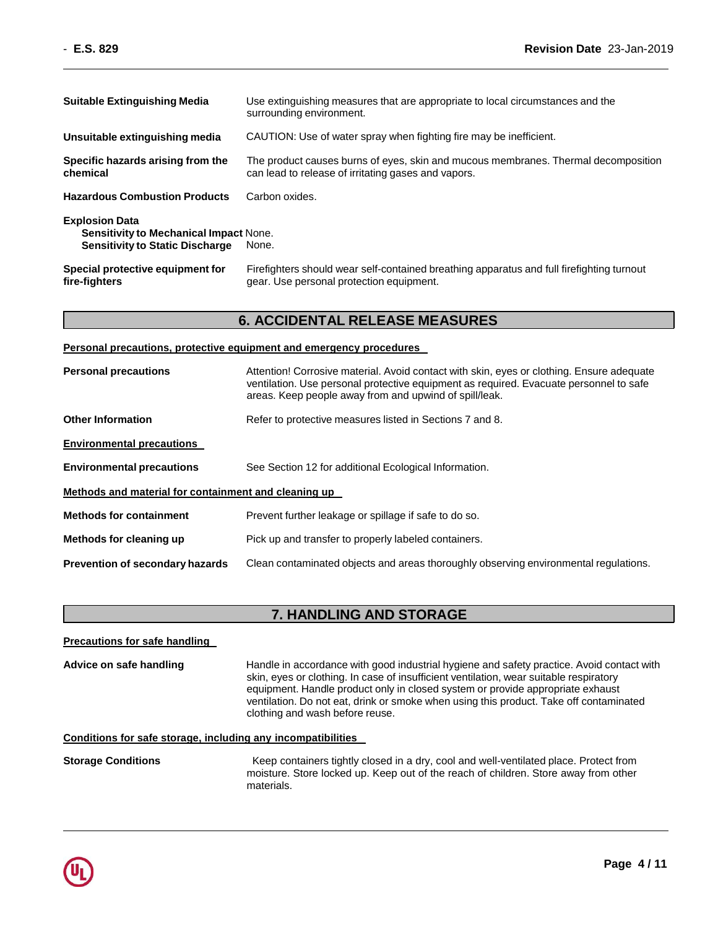| <b>Suitable Extinguishing Media</b>                                                                              | Use extinguishing measures that are appropriate to local circumstances and the<br>surrounding environment.                                |
|------------------------------------------------------------------------------------------------------------------|-------------------------------------------------------------------------------------------------------------------------------------------|
| Unsuitable extinguishing media                                                                                   | CAUTION: Use of water spray when fighting fire may be inefficient.                                                                        |
| Specific hazards arising from the<br>chemical                                                                    | The product causes burns of eyes, skin and mucous membranes. Thermal decomposition<br>can lead to release of irritating gases and vapors. |
| <b>Hazardous Combustion Products</b>                                                                             | Carbon oxides.                                                                                                                            |
| <b>Explosion Data</b><br><b>Sensitivity to Mechanical Impact None.</b><br><b>Sensitivity to Static Discharge</b> | None.                                                                                                                                     |
| Special protective equipment for<br>fire-fighters                                                                | Firefighters should wear self-contained breathing apparatus and full firefighting turnout<br>gear. Use personal protection equipment.     |

# **6. ACCIDENTAL RELEASE MEASURES**

areas. Keep people away from and upwind of spill/leak.

| Personal precautions, protective equipment and emergency procedures |                                                                                           |  |  |  |
|---------------------------------------------------------------------|-------------------------------------------------------------------------------------------|--|--|--|
| <b>Personal precautions</b>                                         | Attention! Corrosive material. Avoid contact with skin, eyes or clothing. Ensure adequate |  |  |  |
|                                                                     | ventilation. Use personal protective equipment as required. Evacuate personnel to safe    |  |  |  |

| <b>Other Information</b>                             | Refer to protective measures listed in Sections 7 and 8.                             |
|------------------------------------------------------|--------------------------------------------------------------------------------------|
| <b>Environmental precautions</b>                     |                                                                                      |
| <b>Environmental precautions</b>                     | See Section 12 for additional Ecological Information.                                |
| Methods and material for containment and cleaning up |                                                                                      |
| <b>Methods for containment</b>                       | Prevent further leakage or spillage if safe to do so.                                |
| Methods for cleaning up                              | Pick up and transfer to properly labeled containers.                                 |
| <b>Prevention of secondary hazards</b>               | Clean contaminated objects and areas thoroughly observing environmental regulations. |

# **7. HANDLING AND STORAGE**

**Precautions for safe handling** 

**Advice on safe handling** Handle in accordance with good industrial hygiene and safety practice. Avoid contact with skin, eyes or clothing. In case of insufficient ventilation, wear suitable respiratory equipment. Handle product only in closed system or provide appropriate exhaust ventilation. Do not eat, drink or smoke when using this product. Take off contaminated clothing and wash before reuse.

# **Conditions for safe storage, including any incompatibilities**

**Storage Conditions** Keep containers tightly closed in a dry, cool and well-ventilated place. Protect from moisture. Store locked up. Keep out of the reach of children. Store away from other materials.

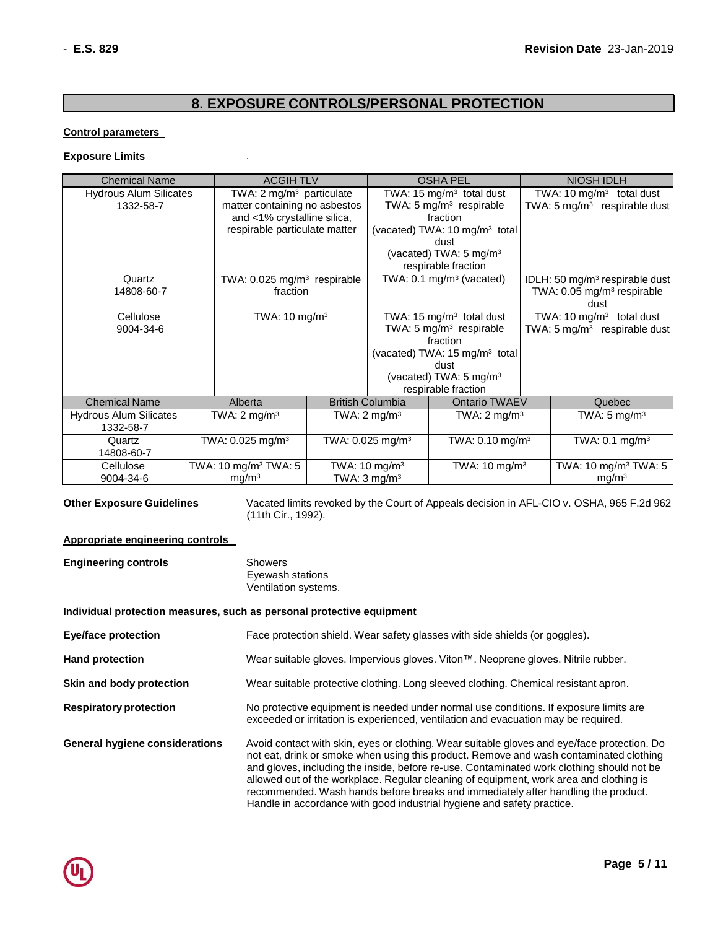# **8. EXPOSURE CONTROLS/PERSONAL PROTECTION**

# **Control parameters**

### **Exposure Limits** .

| <b>Chemical Name</b>          | <b>ACGIH TLV</b>                        |  |                                     | <b>OSHA PEL</b>                           |  | <b>NIOSH IDLH</b>                       |                                            |
|-------------------------------|-----------------------------------------|--|-------------------------------------|-------------------------------------------|--|-----------------------------------------|--------------------------------------------|
| <b>Hydrous Alum Silicates</b> | TWA: $2 \text{ mg/m}^3$ particulate     |  |                                     | TWA: 15 mg/m <sup>3</sup> total dust      |  | TWA: $10 \text{ mg/m}^3$                | total dust                                 |
| 1332-58-7                     | matter containing no asbestos           |  |                                     | TWA: 5 mg/m <sup>3</sup> respirable       |  |                                         | TWA: 5 mg/m <sup>3</sup> respirable dust   |
|                               | and <1% crystalline silica,             |  |                                     | fraction                                  |  |                                         |                                            |
|                               | respirable particulate matter           |  |                                     | (vacated) TWA: 10 mg/m <sup>3</sup> total |  |                                         |                                            |
|                               |                                         |  |                                     | dust                                      |  |                                         |                                            |
|                               |                                         |  |                                     | (vacated) TWA: 5 mg/m <sup>3</sup>        |  |                                         |                                            |
|                               |                                         |  |                                     | respirable fraction                       |  |                                         |                                            |
| Quartz                        | TWA: 0.025 mg/m <sup>3</sup> respirable |  |                                     | TWA: $0.1 \text{ mg/m}^3$ (vacated)       |  |                                         | IDLH: 50 mg/m <sup>3</sup> respirable dust |
| 14808-60-7                    | fraction                                |  |                                     |                                           |  |                                         | TWA: $0.05$ mg/m <sup>3</sup> respirable   |
|                               |                                         |  |                                     |                                           |  |                                         | dust                                       |
| Cellulose                     | TWA: $10 \text{ mg/m}^3$                |  |                                     | TWA: 15 mg/m <sup>3</sup> total dust      |  | TWA: $10 \text{ mg/m}^3$<br>total dust  |                                            |
| 9004-34-6                     |                                         |  | TWA: 5 mg/m <sup>3</sup> respirable |                                           |  | TWA: $5 \text{ mg/m}^3$ respirable dust |                                            |
|                               |                                         |  |                                     | fraction                                  |  |                                         |                                            |
|                               |                                         |  |                                     | (vacated) TWA: $15 \text{ mg/m}^3$ total  |  |                                         |                                            |
|                               |                                         |  |                                     | dust                                      |  |                                         |                                            |
|                               |                                         |  |                                     | (vacated) TWA: 5 mg/m <sup>3</sup>        |  |                                         |                                            |
|                               |                                         |  |                                     | respirable fraction                       |  |                                         |                                            |
| <b>Chemical Name</b>          | Alberta                                 |  | <b>British Columbia</b>             | Ontario TWAEV                             |  |                                         | Quebec                                     |
| <b>Hydrous Alum Silicates</b> | TWA: $2 \text{ mg/m}^3$                 |  | TWA: $2 \text{ mg/m}^3$             | TWA: $2 \text{ mg/m}^3$                   |  |                                         | TWA: $5 \text{ mg/m}^3$                    |
| 1332-58-7                     |                                         |  |                                     |                                           |  |                                         |                                            |
| Quartz                        | TWA: $0.025$ mg/m <sup>3</sup>          |  | TWA: $0.025$ mg/m <sup>3</sup>      | TWA: $0.10$ mg/m <sup>3</sup>             |  |                                         | TWA: 0.1 mg/m <sup>3</sup>                 |
| 14808-60-7                    |                                         |  |                                     |                                           |  |                                         |                                            |
| Cellulose                     | TWA: 10 mg/m <sup>3</sup> TWA: 5        |  | TWA: $10 \text{ mg/m}^3$            | TWA: $10 \text{ mg/m}^3$                  |  |                                         | TWA: 10 mg/m <sup>3</sup> TWA: 5           |
| 9004-34-6                     | mg/m <sup>3</sup>                       |  | TWA: $3 \text{ mg/m}^3$             |                                           |  |                                         | mg/m <sup>3</sup>                          |

**Other Exposure Guidelines** Vacated limits revoked by the Court of Appeals decision in AFL-CIO v. OSHA, 965 F.2d 962 (11th Cir., 1992).

# **Appropriate engineering controls**

**Engineering controls** Showers Eyewash stations Ventilation systems.

## **Individual protection measures, such as personal protective equipment**

| <b>Eye/face protection</b>     | Face protection shield. Wear safety glasses with side shields (or goggles).                                                                                                                                                                                                                                                                                                                                                                                                                                                                 |
|--------------------------------|---------------------------------------------------------------------------------------------------------------------------------------------------------------------------------------------------------------------------------------------------------------------------------------------------------------------------------------------------------------------------------------------------------------------------------------------------------------------------------------------------------------------------------------------|
| <b>Hand protection</b>         | Wear suitable gloves. Impervious gloves. Viton™. Neoprene gloves. Nitrile rubber.                                                                                                                                                                                                                                                                                                                                                                                                                                                           |
| Skin and body protection       | Wear suitable protective clothing. Long sleeved clothing. Chemical resistant apron.                                                                                                                                                                                                                                                                                                                                                                                                                                                         |
| <b>Respiratory protection</b>  | No protective equipment is needed under normal use conditions. If exposure limits are<br>exceeded or irritation is experienced, ventilation and evacuation may be required.                                                                                                                                                                                                                                                                                                                                                                 |
| General hygiene considerations | Avoid contact with skin, eyes or clothing. Wear suitable gloves and eye/face protection. Do<br>not eat, drink or smoke when using this product. Remove and wash contaminated clothing<br>and gloves, including the inside, before re-use. Contaminated work clothing should not be<br>allowed out of the workplace. Regular cleaning of equipment, work area and clothing is<br>recommended. Wash hands before breaks and immediately after handling the product.<br>Handle in accordance with good industrial hygiene and safety practice. |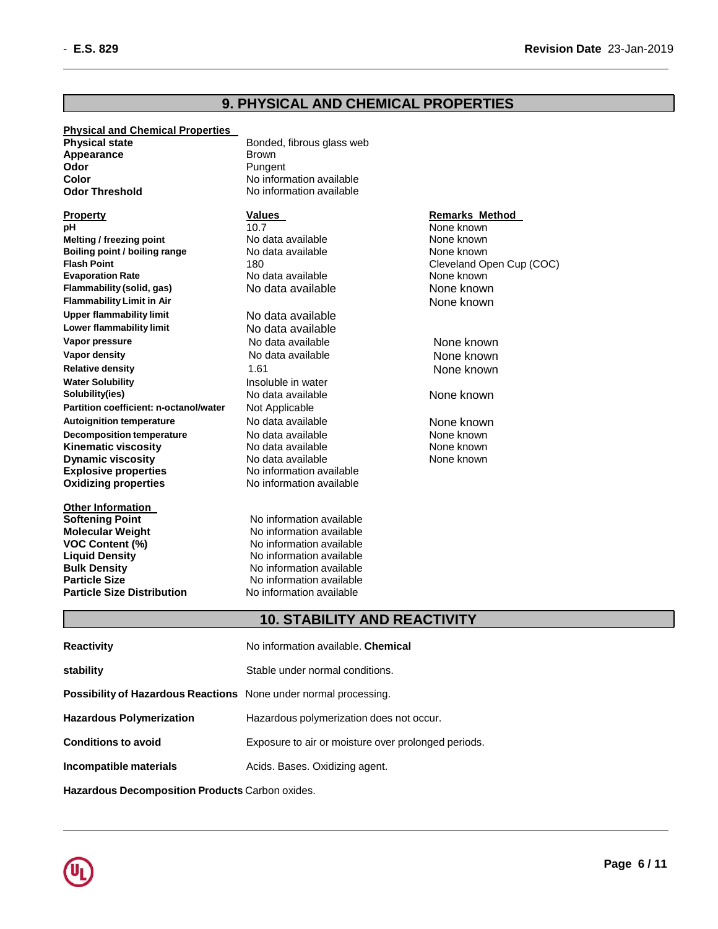# **9. PHYSICAL AND CHEMICAL PROPERTIES**

#### **Physical and Chemical Properties**

**Appearance** Brown **Odor** Pungent **Odor Threshold** No information available

**Physical state** Bonded, fibrous glass web **Color** No information available

**Melting / freezing point**<br> **Boiling point / boiling range** No data available **Boiling point / boiling range**  $\begin{array}{ccc} 180 \\ 180 \end{array}$  **No data available**  $\begin{array}{ccc} 180 \\ 180 \end{array}$  **None known Flash Point**<br> **Evaporation Rate**<br> **Evaporation Rate**<br> **Evaporation Rate**<br> **Note known**<br> **Evaporation Rate Flammability (solid, gas)** No data available None known **Flammability Limit in Air** None known **Upper flammability limit** No data available **Lower flammability limit**<br> **Vapor pressure**<br> **Vapor pressure**<br> **No data available Vapor density No data available None known Relative density**<br> **Relative density**<br> **Water Solubility**<br> **I**nsoluble in water<br> **None known Water Solubility** Insoluble in water **Partition coefficient: n-octanol/water** Not Applicable **Autoignition temperature No data available None known**<br> **Decomposition temperature No data available None known**<br>
None known **Decomposition temperature No data available None known**<br> **Kinematic viscosity No data available None known**<br>
None known **Kinematic viscosity**<br> **Contains the Cone of Allian Cone Account Available** Mone known<br>
None known<br>
None known **Dynamic viscosity**<br> **Explosive properties**<br>
No information available **Explosive properties**<br> **Oxidizing properties**<br>
No information available **Oxidizing** properties

**Other Information Softening Point No information available Molecular Weight**  No information available **VOC Content (%)** No information available **Liquid Density No information available**<br> **Bulk Density No information available Bulk Density**<br> **Particle Size**<br> **Particle Size**<br> **No information available Particle Size Distribution** 

# **Property Values Values Remarks Method Remarks Method pH Philome known**<br> **philome known**<br> **philome known**<br> **philome known**<br> **philome known Evaluation Rate** None known

**No data available None known** No data available None known

**Particle No information available**<br>**No information available** 

# **10. STABILITY AND REACTIVITY**

| <b>Reactivity</b>                                                       | No information available. Chemical                  |
|-------------------------------------------------------------------------|-----------------------------------------------------|
| stability                                                               | Stable under normal conditions.                     |
| <b>Possibility of Hazardous Reactions</b> None under normal processing. |                                                     |
| <b>Hazardous Polymerization</b>                                         | Hazardous polymerization does not occur.            |
| <b>Conditions to avoid</b>                                              | Exposure to air or moisture over prolonged periods. |
| Incompatible materials                                                  | Acids. Bases. Oxidizing agent.                      |
|                                                                         |                                                     |

**Hazardous Decomposition Products** Carbon oxides.

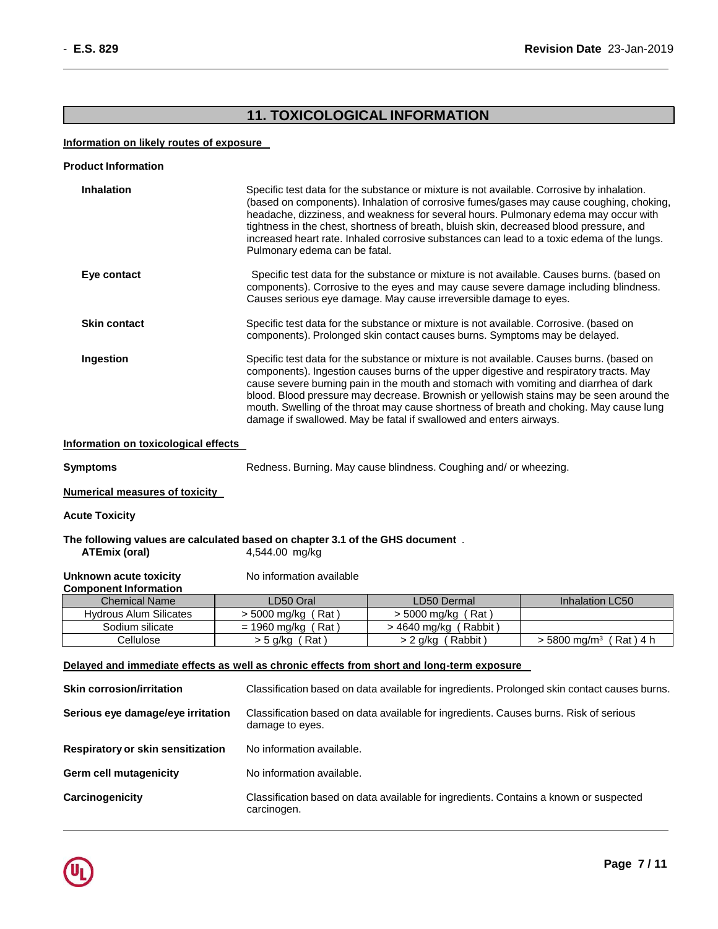# **11. TOXICOLOGICAL INFORMATION**

# **Information on likely routes of exposure**

| <b>Product Information</b>                                                                            |                           |                                                                                                                                                                                                                                                                                                                                                                                                                                                                                                                                          |                                           |  |  |  |
|-------------------------------------------------------------------------------------------------------|---------------------------|------------------------------------------------------------------------------------------------------------------------------------------------------------------------------------------------------------------------------------------------------------------------------------------------------------------------------------------------------------------------------------------------------------------------------------------------------------------------------------------------------------------------------------------|-------------------------------------------|--|--|--|
| <b>Inhalation</b>                                                                                     |                           | Specific test data for the substance or mixture is not available. Corrosive by inhalation.<br>(based on components). Inhalation of corrosive fumes/gases may cause coughing, choking,<br>headache, dizziness, and weakness for several hours. Pulmonary edema may occur with<br>tightness in the chest, shortness of breath, bluish skin, decreased blood pressure, and<br>increased heart rate. Inhaled corrosive substances can lead to a toxic edema of the lungs.<br>Pulmonary edema can be fatal.                                   |                                           |  |  |  |
| Eye contact                                                                                           |                           | Specific test data for the substance or mixture is not available. Causes burns. (based on<br>components). Corrosive to the eyes and may cause severe damage including blindness.<br>Causes serious eye damage. May cause irreversible damage to eyes.                                                                                                                                                                                                                                                                                    |                                           |  |  |  |
| <b>Skin contact</b>                                                                                   |                           | Specific test data for the substance or mixture is not available. Corrosive. (based on<br>components). Prolonged skin contact causes burns. Symptoms may be delayed.                                                                                                                                                                                                                                                                                                                                                                     |                                           |  |  |  |
| Ingestion                                                                                             |                           | Specific test data for the substance or mixture is not available. Causes burns. (based on<br>components). Ingestion causes burns of the upper digestive and respiratory tracts. May<br>cause severe burning pain in the mouth and stomach with vomiting and diarrhea of dark<br>blood. Blood pressure may decrease. Brownish or yellowish stains may be seen around the<br>mouth. Swelling of the throat may cause shortness of breath and choking. May cause lung<br>damage if swallowed. May be fatal if swallowed and enters airways. |                                           |  |  |  |
| Information on toxicological effects                                                                  |                           |                                                                                                                                                                                                                                                                                                                                                                                                                                                                                                                                          |                                           |  |  |  |
| <b>Symptoms</b>                                                                                       |                           | Redness. Burning. May cause blindness. Coughing and/ or wheezing.                                                                                                                                                                                                                                                                                                                                                                                                                                                                        |                                           |  |  |  |
| <b>Numerical measures of toxicity</b>                                                                 |                           |                                                                                                                                                                                                                                                                                                                                                                                                                                                                                                                                          |                                           |  |  |  |
| <b>Acute Toxicity</b>                                                                                 |                           |                                                                                                                                                                                                                                                                                                                                                                                                                                                                                                                                          |                                           |  |  |  |
| The following values are calculated based on chapter 3.1 of the GHS document.<br><b>ATEmix (oral)</b> | 4,544.00 mg/kg            |                                                                                                                                                                                                                                                                                                                                                                                                                                                                                                                                          |                                           |  |  |  |
| Unknown acute toxicity<br><b>Component Information</b>                                                | No information available  |                                                                                                                                                                                                                                                                                                                                                                                                                                                                                                                                          |                                           |  |  |  |
| <b>Chemical Name</b>                                                                                  | LD50 Oral                 | LD50 Dermal                                                                                                                                                                                                                                                                                                                                                                                                                                                                                                                              | Inhalation LC50                           |  |  |  |
| <b>Hydrous Alum Silicates</b>                                                                         | > 5000 mg/kg (Rat)        | $>$ 5000 mg/kg (Rat)                                                                                                                                                                                                                                                                                                                                                                                                                                                                                                                     |                                           |  |  |  |
| Sodium silicate                                                                                       | $= 1960$ mg/kg (Rat)      | > 4640 mg/kg (Rabbit)                                                                                                                                                                                                                                                                                                                                                                                                                                                                                                                    |                                           |  |  |  |
| Cellulose                                                                                             | $>$ 5 g/kg (Rat)          | > 2 g/kg (Rabbit)                                                                                                                                                                                                                                                                                                                                                                                                                                                                                                                        | $(Rat)$ 4 h<br>$> 5800$ mg/m <sup>3</sup> |  |  |  |
|                                                                                                       |                           | Delayed and immediate effects as well as chronic effects from short and long-term exposure                                                                                                                                                                                                                                                                                                                                                                                                                                               |                                           |  |  |  |
| <b>Skin corrosion/irritation</b>                                                                      |                           | Classification based on data available for ingredients. Prolonged skin contact causes burns.                                                                                                                                                                                                                                                                                                                                                                                                                                             |                                           |  |  |  |
| Serious eye damage/eye irritation                                                                     | damage to eyes.           | Classification based on data available for ingredients. Causes burns. Risk of serious                                                                                                                                                                                                                                                                                                                                                                                                                                                    |                                           |  |  |  |
| Respiratory or skin sensitization                                                                     | No information available. |                                                                                                                                                                                                                                                                                                                                                                                                                                                                                                                                          |                                           |  |  |  |
| Germ cell mutagenicity                                                                                | No information available. |                                                                                                                                                                                                                                                                                                                                                                                                                                                                                                                                          |                                           |  |  |  |
| Carcinogenicity                                                                                       | carcinogen.               | Classification based on data available for ingredients. Contains a known or suspected                                                                                                                                                                                                                                                                                                                                                                                                                                                    |                                           |  |  |  |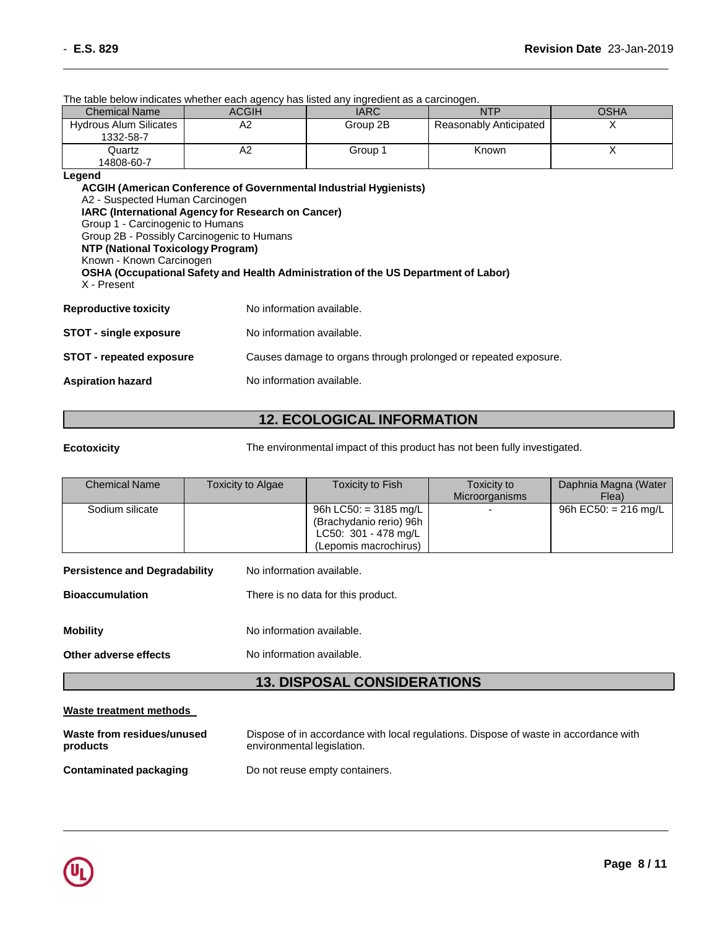|                                                                                                                                                                                                                                                                                                                                                                                                                                                   | The table below indicates whether each agency has ilsted any ingredient as a carcinogent.          |             |                        |             |  |
|---------------------------------------------------------------------------------------------------------------------------------------------------------------------------------------------------------------------------------------------------------------------------------------------------------------------------------------------------------------------------------------------------------------------------------------------------|----------------------------------------------------------------------------------------------------|-------------|------------------------|-------------|--|
| <b>Chemical Name</b>                                                                                                                                                                                                                                                                                                                                                                                                                              | <b>ACGIH</b>                                                                                       | <b>IARC</b> | <b>NTP</b>             | <b>OSHA</b> |  |
| <b>Hydrous Alum Silicates</b><br>1332-58-7                                                                                                                                                                                                                                                                                                                                                                                                        | A2                                                                                                 | Group 2B    | Reasonably Anticipated | х           |  |
| Quartz<br>14808-60-7                                                                                                                                                                                                                                                                                                                                                                                                                              | A2                                                                                                 | Group 1     | Known                  | X           |  |
| Legend<br><b>ACGIH (American Conference of Governmental Industrial Hygienists)</b><br>A2 - Suspected Human Carcinogen<br><b>IARC (International Agency for Research on Cancer)</b><br>Group 1 - Carcinogenic to Humans<br>Group 2B - Possibly Carcinogenic to Humans<br><b>NTP (National Toxicology Program)</b><br>Known - Known Carcinogen<br>OSHA (Occupational Safety and Health Administration of the US Department of Labor)<br>X - Present |                                                                                                    |             |                        |             |  |
| No information available.<br><b>Reproductive toxicity</b>                                                                                                                                                                                                                                                                                                                                                                                         |                                                                                                    |             |                        |             |  |
| <b>STOT - single exposure</b>                                                                                                                                                                                                                                                                                                                                                                                                                     | No information available.                                                                          |             |                        |             |  |
|                                                                                                                                                                                                                                                                                                                                                                                                                                                   | <b>STOT - repeated exposure</b><br>Causes damage to organs through prolonged or repeated exposure. |             |                        |             |  |
| No information available.<br><b>Aspiration hazard</b>                                                                                                                                                                                                                                                                                                                                                                                             |                                                                                                    |             |                        |             |  |
|                                                                                                                                                                                                                                                                                                                                                                                                                                                   |                                                                                                    |             |                        |             |  |

#### The table below indicates whether each agency has listed any ingredient as a carcinogen.

# **12. ECOLOGICAL INFORMATION**

**Ecotoxicity** The environmental impact of this product has not been fully investigated.

| <b>Chemical Name</b>                               | Toxicity to Algae         | <b>Toxicity to Fish</b>                                                                             | Toxicity to<br>Microorganisms | Daphnia Magna (Water<br>Flea) |  |
|----------------------------------------------------|---------------------------|-----------------------------------------------------------------------------------------------------|-------------------------------|-------------------------------|--|
| Sodium silicate                                    |                           | 96h LC50: = $3185$ mg/L<br>(Brachydanio rerio) 96h<br>LC50: 301 - 478 mg/L<br>(Lepomis macrochirus) |                               | 96h EC50: = $216$ mg/L        |  |
| <b>Persistence and Degradability</b>               | No information available. |                                                                                                     |                               |                               |  |
| <b>Bioaccumulation</b>                             |                           | There is no data for this product.                                                                  |                               |                               |  |
| <b>Mobility</b>                                    |                           | No information available.                                                                           |                               |                               |  |
| No information available.<br>Other adverse effects |                           |                                                                                                     |                               |                               |  |
| <b>13. DISPOSAL CONSIDERATIONS</b>                 |                           |                                                                                                     |                               |                               |  |

# **Waste treatment methods**

| Waste from residues/unused | Dispose of in accordance with local regulations. Dispose of waste in accordance with |
|----------------------------|--------------------------------------------------------------------------------------|
| products                   | environmental legislation.                                                           |
| Contaminated packaging     | Do not reuse empty containers.                                                       |

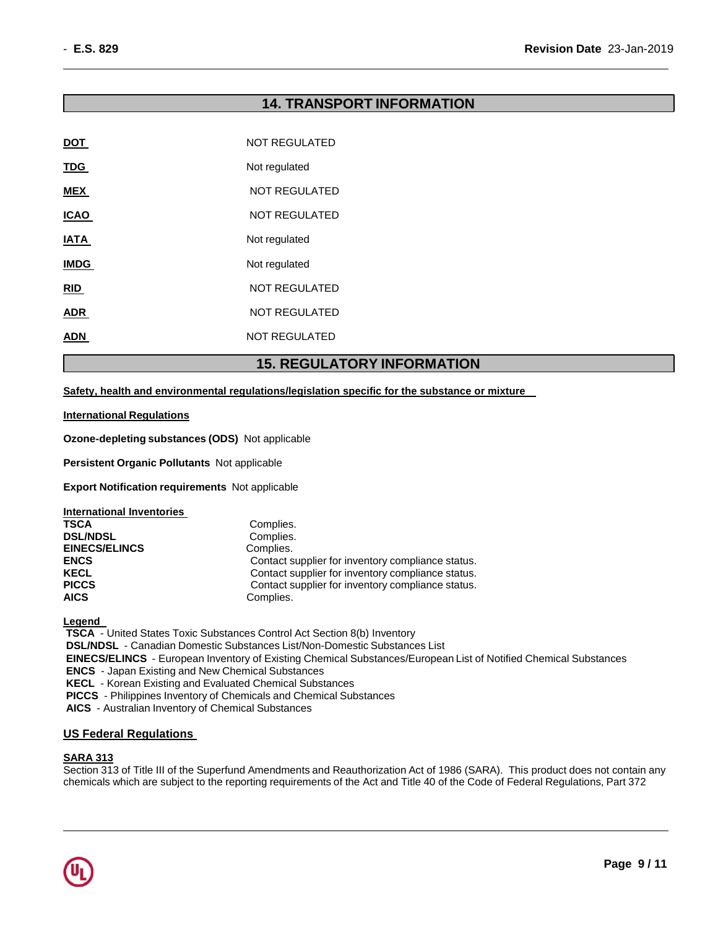# **14. TRANSPORT INFORMATION**

| <b>DOT</b>  | <b>NOT REGULATED</b> |
|-------------|----------------------|
| <b>TDG</b>  | Not regulated        |
| <b>MEX</b>  | <b>NOT REGULATED</b> |
| <b>ICAO</b> | <b>NOT REGULATED</b> |
| IATA        | Not regulated        |
| <b>IMDG</b> | Not regulated        |
| <b>RID</b>  | <b>NOT REGULATED</b> |
| <b>ADR</b>  | <b>NOT REGULATED</b> |
| ADN         | NOT REGULATED        |
|             |                      |

# **15. REGULATORY INFORMATION**

**Safety, health and environmental regulations/legislation specific for the substance or mixture** 

#### **International Regulations**

**Ozone-depleting substances (ODS)** Not applicable

**Persistent Organic Pollutants** Not applicable

**Export Notification requirements** Not applicable

| <b>International Inventories</b> |                                                   |
|----------------------------------|---------------------------------------------------|
| <b>TSCA</b>                      | Complies.                                         |
| <b>DSL/NDSL</b>                  | Complies.                                         |
| <b>EINECS/ELINCS</b>             | Complies.                                         |
| <b>ENCS</b>                      | Contact supplier for inventory compliance status. |
| <b>KECL</b>                      | Contact supplier for inventory compliance status. |
| <b>PICCS</b>                     | Contact supplier for inventory compliance status. |
| <b>AICS</b>                      | Complies.                                         |

**Legend** 

**TSCA** - United States Toxic Substances Control Act Section 8(b) Inventory

**DSL/NDSL** - Canadian Domestic Substances List/Non-Domestic Substances List

**EINECS/ELINCS** - European Inventory of Existing Chemical Substances/European List of Notified Chemical Substances

**ENCS** - Japan Existing and New Chemical Substances

**KECL** - Korean Existing and Evaluated Chemical Substances

**PICCS** - Philippines Inventory of Chemicals and Chemical Substances

**AICS** - Australian Inventory of Chemical Substances

# **US Federal Regulations**

#### **SARA 313**

Section 313 of Title III of the Superfund Amendments and Reauthorization Act of 1986 (SARA). This product does not contain any chemicals which are subject to the reporting requirements of the Act and Title 40 of the Code of Federal Regulations, Part 372

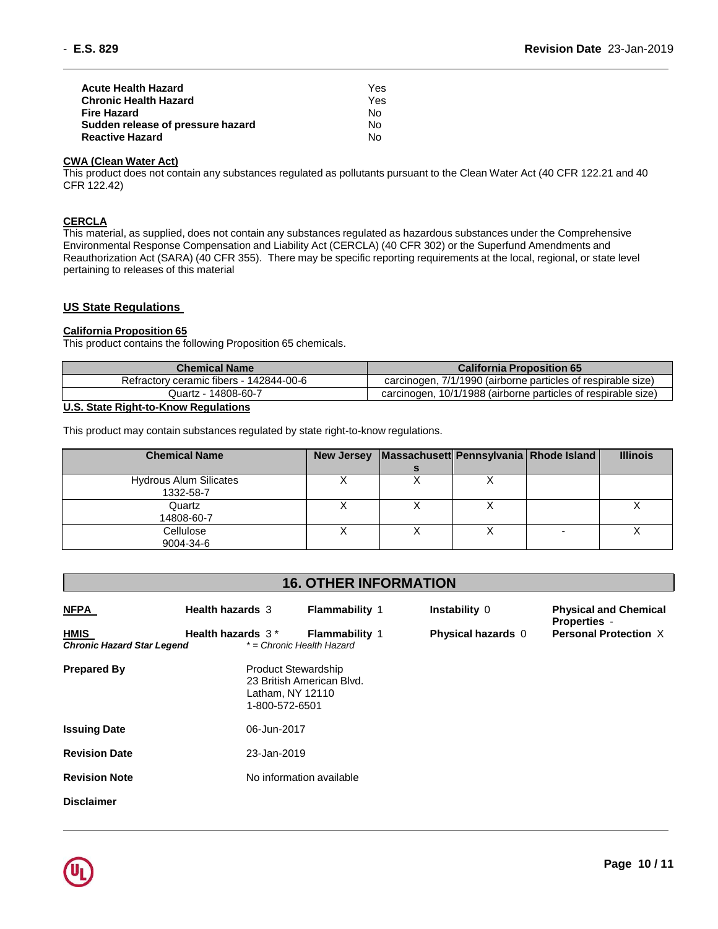| <b>Acute Health Hazard</b>        | Yes |
|-----------------------------------|-----|
| Chronic Health Hazard             | Yes |
| Fire Hazard                       | Nο  |
| Sudden release of pressure hazard | Nο  |
| <b>Reactive Hazard</b>            | N٥  |

# **CWA (Clean Water Act)**

This product does not contain any substances regulated as pollutants pursuant to the Clean Water Act (40 CFR 122.21 and 40 CFR 122.42)

#### **CERCLA**

This material, as supplied, does not contain any substances regulated as hazardous substances under the Comprehensive Environmental Response Compensation and Liability Act (CERCLA) (40 CFR 302) or the Superfund Amendments and Reauthorization Act (SARA) (40 CFR 355). There may be specific reporting requirements at the local, regional, or state level pertaining to releases of this material

## **US State Regulations**

### **California Proposition 65**

This product contains the following Proposition 65 chemicals.

| <b>Chemical Name</b>                    | <b>California Proposition 65</b>                              |
|-----------------------------------------|---------------------------------------------------------------|
| Refractory ceramic fibers - 142844-00-6 | carcinogen, 7/1/1990 (airborne particles of respirable size)  |
| Quartz - 14808-60-7                     | carcinogen, 10/1/1988 (airborne particles of respirable size) |

# **U.S. State Right-to-Know Regulations**

This product may contain substances regulated by state right-to-know regulations.

| <b>Chemical Name</b>          | <b>New Jersey</b> | Massachusett Pennsylvania Rhode Island |  | <b>Illinois</b> |
|-------------------------------|-------------------|----------------------------------------|--|-----------------|
|                               |                   |                                        |  |                 |
| <b>Hydrous Alum Silicates</b> |                   |                                        |  |                 |
| 1332-58-7                     |                   |                                        |  |                 |
| Quartz                        |                   |                                        |  |                 |
| 14808-60-7                    |                   |                                        |  |                 |
| Cellulose                     |                   |                                        |  |                 |
| 9004-34-6                     |                   |                                        |  |                 |

# **16. OTHER INFORMATION**

| <b>NFPA</b>                                      | <b>Health hazards 3</b>                                          | <b>Flammability 1</b>     | <b>Instability 0</b> | <b>Physical and Chemical</b><br><b>Properties -</b> |
|--------------------------------------------------|------------------------------------------------------------------|---------------------------|----------------------|-----------------------------------------------------|
| <b>HMIS</b><br><b>Chronic Hazard Star Legend</b> | Health hazards $3*$<br>* = Chronic Health Hazard                 | <b>Flammability 1</b>     | Physical hazards 0   | <b>Personal Protection X</b>                        |
| <b>Prepared By</b>                               | <b>Product Stewardship</b><br>Latham, NY 12110<br>1-800-572-6501 | 23 British American Blvd. |                      |                                                     |
| <b>Issuing Date</b>                              | 06-Jun-2017                                                      |                           |                      |                                                     |
| <b>Revision Date</b>                             | 23-Jan-2019                                                      |                           |                      |                                                     |
| <b>Revision Note</b>                             |                                                                  | No information available  |                      |                                                     |
| <b>Disclaimer</b>                                |                                                                  |                           |                      |                                                     |